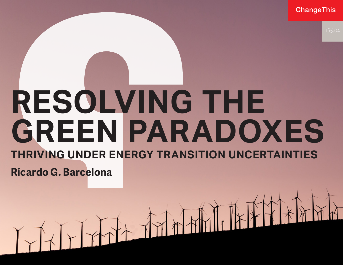ChangeThis

# **RESOLVING THE GREEN PARADOXES THRIVING UNDER ENERGY TRANSITION UNCERTAINTIES**

**Ricardo G. Barcelona**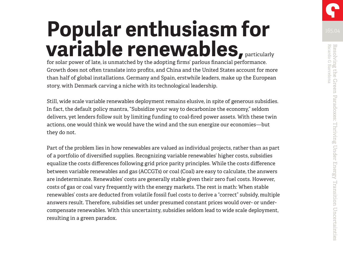## **Popular enthusiasm for variable renewables,** particularly

for solar power of late, is unmatched by the adopting firms' parlous financial performance. Growth does not often translate into profits, and China and the United States account for more than half of global installations. Germany and Spain, erstwhile leaders, make up the European story, with Denmark carving a niche with its technological leadership.

Still, wide scale variable renewables deployment remains elusive, in spite of generous subsidies. In fact, the default policy mantra, "Subsidize your way to decarbonize the economy," seldom delivers, yet lenders follow suit by limiting funding to coal-fired power assets. With these twin actions, one would think we would have the wind and the sun energize our economies—but they do not.

Part of the problem lies in how renewables are valued as individual projects, rather than as part of a portfolio of diversified supplies. Recognizing variable renewables' higher costs, subsidies equalize the costs differences following grid price parity principles. While the costs difference between variable renewables and gas (ACCGTs) or coal (Coal) are easy to calculate, the answers are indeterminate. Renewables' costs are generally stable given their zero fuel costs. However, costs of gas or coal vary frequently with the energy markets. The rest is math: When stable renewables' costs are deducted from volatile fossil fuel costs to derive a "correct" subsidy, multiple answers result. Therefore, subsidies set under presumed constant prices would over- or undercompensate renewables. With this uncertainty, subsidies seldom lead to wide scale deployment, resulting in a green paradox.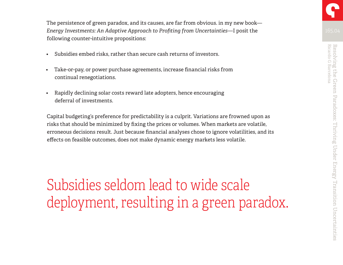The persistence of green paradox, and its causes, are far from obvious. in my new book— *Energy Investments: An Adaptive Approach to Profiting from Uncertainties*—I posit the following counter-intuitive propositions:

- Subsidies embed risks, rather than secure cash returns of investors.
- Take-or-pay, or power purchase agreements, increase financial risks from continual renegotiations.
- Rapidly declining solar costs reward late adopters, hence encouraging deferral of investments.

Capital budgeting's preference for predictability is a culprit. Variations are frowned upon as risks that should be minimized by fixing the prices or volumes. When markets are volatile, erroneous decisions result. Just because financial analyses chose to ignore volatilities, and its effects on feasible outcomes, does not make dynamic energy markets less volatile.

Subsidies seldom lead to wide scale deployment, resulting in a green paradox.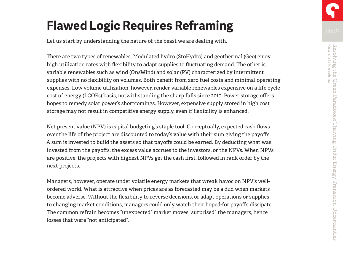### **Flawed Logic Requires Reframing**

Let us start by understanding the nature of the beast we are dealing with.

There are two types of renewables. Modulated hydro (StoHydro) and geothermal (Geo) enjoy high utilization rates with flexibility to adapt supplies to fluctuating demand. The other is variable renewables such as wind (OnsWind) and solar (PV) characterized by intermittent supplies with no flexibility on volumes. Both benefit from zero fuel costs and minimal operating expenses. Low volume utilization, however, render variable renewables expensive on a life cycle cost of energy (LCOEs) basis, notwithstanding the sharp falls since 2010. Power storage offers hopes to remedy solar power's shortcomings. However, expensive supply stored in high cost storage may not result in competitive energy supply, even if flexibility is enhanced.

Net present value (NPV) is capital budgeting's staple tool. Conceptually, expected cash flows over the life of the project are discounted to today's value with their sum giving the payoffs. A sum is invested to build the assets so that payoffs could be earned. By deducting what was invested from the payoffs, the excess value accrues to the investors, or the NPVs. When NPVs are positive, the projects with highest NPVs get the cash first, followed in rank order by the next projects.

Managers, however, operate under volatile energy markets that wreak havoc on NPV's wellordered world. What is attractive when prices are as forecasted may be a dud when markets become adverse. Without the flexibility to reverse decisions, or adapt operations or supplies to changing market conditions, managers could only watch their hoped-for payoffs dissipate. The common refrain becomes "unexpected" market moves "surprised" the managers, hence losses that were "not anticipated".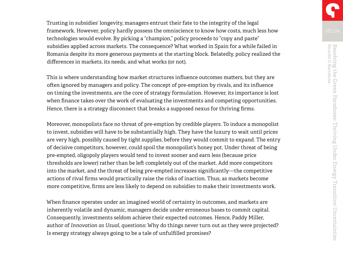Trusting in subsidies' longevity, managers entrust their fate to the integrity of the legal framework. However, policy hardly possess the omniscience to know how costs, much less how technologies would evolve. By picking a "champion," policy proceeds to "copy and paste" subsidies applied across markets. The consequence? What worked in Spain for a while failed in Romania despite its more generous payments at the starting block. Belatedly, policy realized the differences in markets, its needs, and what works (or not).

This is where understanding how market structures influence outcomes matters, but they are often ignored by managers and policy. The concept of pre-emption by rivals, and its influence on timing the investments, are the core of strategy formulation. However, its importance is lost when finance takes over the work of evaluating the investments and competing opportunities. Hence, there is a strategy disconnect that breaks a supposed nexus for thriving firms.

Moreover, monopolists face no threat of pre-emption by credible players. To induce a monopolist to invest, subsidies will have to be substantially high. They have the luxury to wait until prices are very high, possibly caused by tight supplies, before they would commit to expand. The entry of decisive competitors, however, could spoil the monopolist's honey pot. Under threat of being pre-empted, oligopoly players would tend to invest sooner and earn less (because price thresholds are lower) rather than be left completely out of the market. Add more competitors into the market, and the threat of being pre-empted increases significantly—the competitive actions of rival firms would practically raise the risks of inaction. Thus, as markets become more competitive, firms are less likely to depend on subsidies to make their investments work.

When finance operates under an imagined world of certainty in outcomes, and markets are inherently volatile and dynamic, managers decide under erroneous bases to commit capital. Consequently, investments seldom achieve their expected outcomes. Hence, Paddy Miller, author of *Innovation as Usual*, questions: Why do things never turn out as they were projected? Is energy strategy always going to be a tale of unfulfilled promises?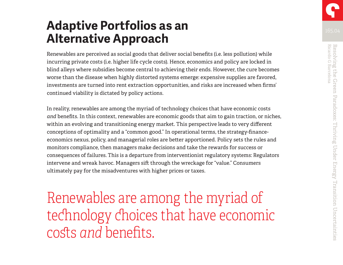### **Adaptive Portfolios as an Alternative Approach**

Renewables are perceived as social goods that deliver social benefits (i.e. less pollution) while incurring private costs (i.e. higher life cycle costs). Hence, economics and policy are locked in blind alleys where subsidies become central to achieving their ends. However, the cure becomes worse than the disease when highly distorted systems emerge: expensive supplies are favored, investments are turned into rent extraction opportunities, and risks are increased when firms' continued viability is dictated by policy actions.

In reality, renewables are among the myriad of technology choices that have economic costs *and* benefits. In this context, renewables are economic goods that aim to gain traction, or niches, within an evolving and transitioning energy market. This perspective leads to very different conceptions of optimality and a "common good." In operational terms, the strategy-financeeconomics nexus, policy, and managerial roles are better apportioned. Policy sets the rules and monitors compliance, then managers make decisions and take the rewards for success or consequences of failures. This is a departure from interventionist regulatory systems: Regulators intervene and wreak havoc. Managers sift through the wreckage for "value." Consumers ultimately pay for the misadventures with higher prices or taxes.

Renewables are among the myriad of technology choices that have economic costs *and* benefits.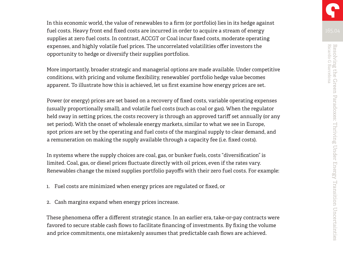In this economic world, the value of renewables to a firm (or portfolio) lies in its hedge against fuel costs. Heavy front end fixed costs are incurred in order to acquire a stream of energy supplies at zero fuel costs. In contrast, ACCGT or Coal incur fixed costs, moderate operating expenses, and highly volatile fuel prices. The uncorrelated volatilities offer investors the opportunity to hedge or diversify their supplies portfolios.

More importantly, broader strategic and managerial options are made available. Under competitive conditions, with pricing and volume flexibility, renewables' portfolio hedge value becomes apparent. To illustrate how this is achieved, let us first examine how energy prices are set.

Power (or energy) prices are set based on a recovery of fixed costs, variable operating expenses (usually proportionally small), and volatile fuel costs (such as coal or gas). When the regulator held sway in setting prices, the costs recovery is through an approved tariff set annually (or any set period). With the onset of wholesale energy markets, similar to what we see in Europe, spot prices are set by the operating and fuel costs of the marginal supply to clear demand, and a remuneration on making the supply available through a capacity fee (i.e. fixed costs).

In systems where the supply choices are coal, gas, or bunker fuels, costs "diversification" is limited. Coal, gas, or diesel prices fluctuate directly with oil prices, even if the rates vary. Renewables change the mixed supplies portfolio payoffs with their zero fuel costs. For example:

- 1. Fuel costs are minimized when energy prices are regulated or fixed, or
- 2. Cash margins expand when energy prices increase.

These phenomena offer a different strategic stance. In an earlier era, take-or-pay contracts were favored to secure stable cash flows to facilitate financing of investments. By fixing the volume and price commitments, one mistakenly assumes that predictable cash flows are achieved.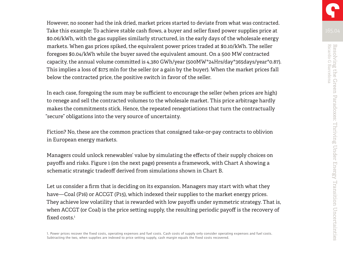However, no sooner had the ink dried, market prices started to deviate from what was contracted. Take this example: To achieve stable cash flows, a buyer and seller fixed power supplies price at \$0.06/kWh, with the gas supplies similarly structured, in the early days of the wholesale energy markets. When gas prices spiked, the equivalent power prices traded at \$0.10/kWh. The seller foregoes \$0.04/kWh while the buyer saved the equivalent amount. On a 500 MW contracted capacity, the annual volume committed is 4,380 GWh/year (500MW\*24Hrs/day\*365days/year\*0.87). This implies a loss of \$175 mln for the seller (or a gain by the buyer). When the market prices fall below the contracted price, the positive switch in favor of the seller.

In each case, foregoing the sum may be sufficient to encourage the seller (when prices are high) to renege and sell the contracted volumes to the wholesale market. This price arbitrage hardly makes the commitments stick. Hence, the repeated renegotiations that turn the contractually "secure" obligations into the very source of uncertainty.

Fiction? No, these are the common practices that consigned take-or-pay contracts to oblivion in European energy markets.

Managers could unlock renewables' value by simulating the effects of their supply choices on payoffs and risks. Figure 1 (on the next page) presents a framework, with Chart A showing a schematic strategic tradeoff derived from simulations shown in Chart B.

Let us consider a firm that is deciding on its expansion. Managers may start with what they have—Coal (P16) or ACCGT (P15), which indexed their supplies to the market energy prices. They achieve low volatility that is rewarded with low payoffs under symmetric strategy. That is, when ACCGT (or Coal) is the price setting supply, the resulting periodic payoff is the recovery of fixed costs. $^1$ 

1. Power prices recover the fixed costs, operating expenses and fuel costs. Cash costs of supply only consider operating expenses and fuel costs. Subtracting the two, when supplies are indexed to price setting supply, cash margin equals the fixed costs recovered.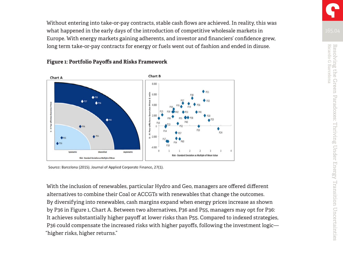Without entering into take-or-pay contracts, stable cash flows are achieved. In reality, this was what happened in the early days of the introduction of competitive wholesale markets in Europe. With energy markets gaining adherents, and investor and financiers' confidence grew, long term take-or-pay contracts for energy or fuels went out of fashion and ended in disuse.



#### **Figure 1: Portfolio Payoffs and Risks Framework**

Source: Barcelona (2015). Journal of Applied Corporate Finance, 27(1).

With the inclusion of renewables, particular Hydro and Geo, managers are offered different alternatives to combine their Coal or ACCGTs with renewables that change the outcomes. By diversifying into renewables, cash margins expand when energy prices increase as shown by P36 in Figure 1, Chart A. Between two alternatives, P36 and P55, managers may opt for P36: It achieves substantially higher payoff at lower risks than P55. Compared to indexed strategies, P36 could compensate the increased risks with higher payoffs, following the investment logic— "higher risks, higher returns."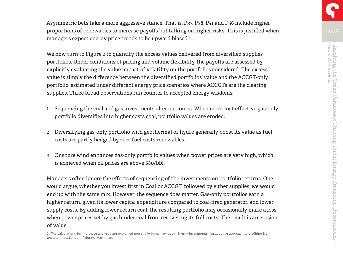Asymmetric bets take a more aggressive stance. That is, P37, P38, P41 and P56 include higher proportions of renewables to increase payoffs but talking on higher risks. This is justified when managers expect energy price trends to be upward biased.2

We now turn to Figure 2 to quantify the excess values delivered from diversified supplies portfolios. Under conditions of pricing and volume flexibility, the payoffs are assessed by explicitly evaluating the value impact of volatility on the portfolios considered. The excess value is simply the difference between the diversified portfolios' value and the ACCGT-only portfolio, estimated under different energy price scenarios where ACCGTs are the clearing supplies. Three broad observations run counter to accepted energy wisdoms:

- 1. Sequencing the coal and gas investments alter outcomes. When more cost-effective gas-only portfolio diversifies into higher costs coal, portfolio values are eroded.
- 2. Diversifying gas-only portfolio with geothermal or hydro generally boost its value as fuel costs are partly hedged by zero fuel costs renewables.
- 3. Onshore wind enhances gas-only portfolio values when power prices are very high, which is achieved when oil prices are above \$80/bbl.

Managers often ignore the effects of sequencing of the investments on portfolio returns. One would argue, whether you invest first in Coal or ACCGT, followed by either supplies, we would end up with the same mix. However, the sequence does matter. Gas-only portfolios earn a higher return, given its lower capital expenditure compared to coal-fired generator, and lower supply costs. By adding lower return coal, the resulting portfolio may occasionally make a loss when power prices set by gas hinder coal from recovering its full costs. The result is an erosion of value.

2. The calculations behind these analyses are explained more fully in my new book: Energy Investments: An adaptive approach to profiting from uncertainties. London: Palgrave Macmillan.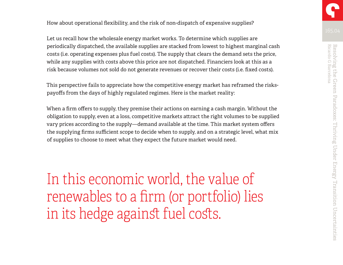How about operational flexibility, and the risk of non-dispatch of expensive supplies?

Let us recall how the wholesale energy market works. To determine which supplies are periodically dispatched, the available supplies are stacked from lowest to highest marginal cash costs (i.e. operating expenses plus fuel costs). The supply that clears the demand sets the price, while any supplies with costs above this price are not dispatched. Financiers look at this as a risk because volumes not sold do not generate revenues or recover their costs (i.e. fixed costs).

This perspective fails to appreciate how the competitive energy market has reframed the riskspayoffs from the days of highly regulated regimes. Here is the market reality:

When a firm offers to supply, they premise their actions on earning a cash margin. Without the obligation to supply, even at a loss, competitive markets attract the right volumes to be supplied vary prices according to the supply—demand available at the time. This market system offers the supplying firms sufficient scope to decide when to supply, and on a strategic level, what mix of supplies to choose to meet what they expect the future market would need.

In this economic world, the value of renewables to a firm (or portfolio) lies in its hedge against fuel costs.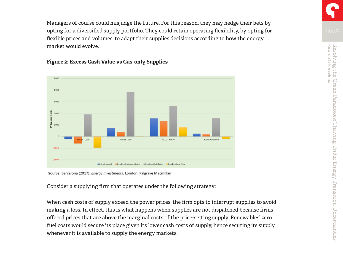Managers of course could misjudge the future. For this reason, they may hedge their bets by opting for a diversified supply portfolio. They could retain operating flexibility, by opting for flexible prices and volumes, to adapt their supplies decisions according to how the energy market would evolve.



### **Figure 2: Excess Cash Value vs Gas-only Supplies**

Source: Barcelona (2017). Energy Investments. London: Palgrave Macmillan

Consider a supplying firm that operates under the following strategy:

When cash costs of supply exceed the power prices, the firm opts to interrupt supplies to avoid making a loss. In effect, this is what happens when supplies are not dispatched because firms offered prices that are above the marginal costs of the price-setting supply. Renewables' zero fuel costs would secure its place given its lower cash costs of supply, hence securing its supply whenever it is available to supply the energy markets.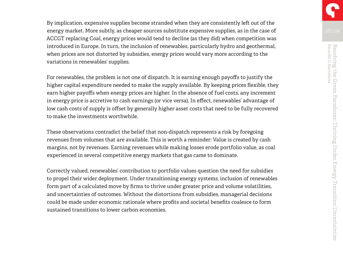By implication, expensive supplies become stranded when they are consistently left out of the energy market. More subtly, as cheaper sources substitute expensive supplies, as in the case of ACCGT replacing Coal, energy prices would tend to decline (as they did) when competition was introduced in Europe. In turn, the inclusion of renewables, particularly hydro and geothermal, when prices are not distorted by subsidies, energy prices would vary more according to the variations in renewables' supplies.

For renewables, the problem is not one of dispatch. It is earning enough payoffs to justify the higher capital expenditure needed to make the supply available. By keeping prices flexible, they earn higher payoffs when energy prices are higher. In the absence of fuel costs, any increment in energy price is accretive to cash earnings (or vice versa). In effect, renewables' advantage of low cash costs of supply is offset by generally higher asset costs that need to be fully recovered to make the investments worthwhile.

These observations contradict the belief that non-dispatch represents a risk by foregoing revenues from volumes that are available. This is worth a reminder: Value is created by cash margins, not by revenues. Earning revenues while making losses erode portfolio value, as coal experienced in several competitive energy markets that gas came to dominate.

Correctly valued, renewables' contribution to portfolio values question the need for subsidies to propel their wider deployment. Under transitioning energy systems, inclusion of renewables form part of a calculated move by firms to thrive under greater price and volume volatilities, and uncertainties of outcomes. Without the distortions from subsidies, managerial decisions could be made under economic rationale where profits and societal benefits coalesce to form sustained transitions to lower carbon economies.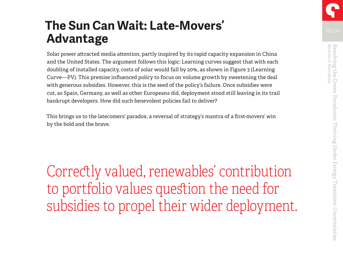### **The Sun Can Wait: Late-Movers' Advantage**

Solar power attracted media attention, partly inspired by its rapid capacity expansion in China and the United States. The argument follows this logic: Learning curves suggest that with each doubling of installed capacity, costs of solar would fall by 20%, as shown in Figure 3 (Learning Curve—PV). This premise influenced policy to focus on volume growth by sweetening the deal with generous subsidies. However, this is the seed of the policy's failure. Once subsidies were cut, as Spain, Germany, as well as other Europeans did, deployment stood still leaving in its trail bankrupt developers. How did such benevolent policies fail to deliver?

This brings us to the latecomers' paradox, a reversal of strategy's mantra of a first-movers' win by the bold and the brave.

Correctly valued, renewables' contribution to portfolio values question the need for subsidies to propel their wider deployment.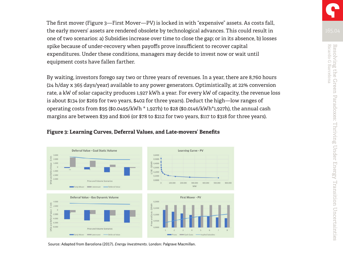The first mover (Figure 3—First Mover—PV) is locked in with "expensive" assets. As costs fall, the early movers' assets are rendered obsolete by technological advances. This could result in one of two scenarios: a) Subsidies increase over time to close the gap; or in its absence, b) losses spike because of under-recovery when payoffs prove insufficient to recover capital expenditures. Under these conditions, managers may decide to invest now or wait until equipment costs have fallen farther.

By waiting, investors forego say two or three years of revenues. In a year, there are 8,760 hours (24 h/day x 365 days/year) available to any power generators. Optimistically, at 22% conversion rate, a kW of solar capacity produces 1,927 kWh a year. For every kW of capacity, the revenue loss is about \$134 (or \$269 for two years, \$402 for three years). Deduct the high—low ranges of operating costs from \$95 (\$0.0495/kWh \* 1,927h) to \$28 (\$0.0146/kWh\*1,927h), the annual cash margins are between \$39 and \$106 (or \$78 to \$212 for two years, \$117 to \$318 for three years).



#### **Figure 3: Learning Curves, Deferral Values, and Late-movers' Benefits**

Source: Adapted from Barcelona (2017). Energy Investments. London: Palgrave Macmillan.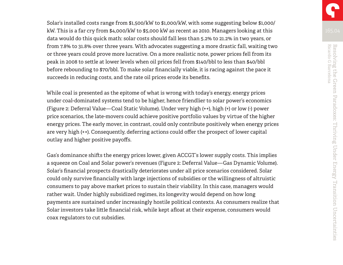Solar's installed costs range from \$1,500/kW to \$1,000/kW, with some suggesting below \$1,000/ kW. This is a far cry from \$4,000/kW to \$5,000 kW as recent as 2010. Managers looking at this data would do this quick math: solar costs should fall less than 5.2% to 21.2% in two years, or from 7.8% to 31.8% over three years. With advocates suggesting a more drastic fall, waiting two or three years could prove more lucrative. On a more realistic note, power prices fell from its peak in 2008 to settle at lower levels when oil prices fell from \$140/bbl to less than \$40/bbl before rebounding to \$70/bbl. To make solar financially viable, it is racing against the pace it succeeds in reducing costs, and the rate oil prices erode its benefits.

While coal is presented as the epitome of what is wrong with today's energy, energy prices under coal-dominated systems tend to be higher, hence friendlier to solar power's economics (Figure 2: Deferral Value—Coal Static Volume). Under very high (++), high (+) or low (-) power price scenarios, the late-movers could achieve positive portfolio values by virtue of the higher energy prices. The early mover, in contrast, could only contribute positively when energy prices are very high (++). Consequently, deferring actions could offer the prospect of lower capital outlay and higher positive payoffs.

Gas's dominance shifts the energy prices lower, given ACCGT's lower supply costs. This implies a squeeze on Coal and Solar power's revenues (Figure 2: Deferral Value—Gas Dynamic Volume). Solar's financial prospects drastically deteriorates under all price scenarios considered. Solar could only survive financially with large injections of subsidies or the willingness of altruistic consumers to pay above market prices to sustain their viability. In this case, managers would rather wait. Under highly subsidized regimes, its longevity would depend on how long payments are sustained under increasingly hostile political contexts. As consumers realize that Solar investors take little financial risk, while kept afloat at their expense, consumers would coax regulators to cut subsidies.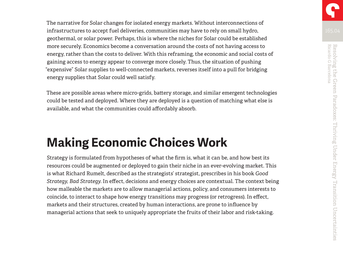The narrative for Solar changes for isolated energy markets. Without interconnections of infrastructures to accept fuel deliveries, communities may have to rely on small hydro, geothermal, or solar power. Perhaps, this is where the niches for Solar could be established more securely. Economics become a conversation around the costs of not having access to energy, rather than the costs to deliver. With this reframing, the economic and social costs of gaining access to energy appear to converge more closely. Thus, the situation of pushing "expensive" Solar supplies to well-connected markets, reverses itself into a pull for bridging energy supplies that Solar could well satisfy.

These are possible areas where micro-grids, battery storage, and similar emergent technologies could be tested and deployed. Where they are deployed is a question of matching what else is available, and what the communities could affordably absorb.

### **Making Economic Choices Work**

Strategy is formulated from hypotheses of what the firm is, what it can be, and how best its resources could be augmented or deployed to gain their niche in an ever-evolving market. This is what Richard Rumelt, described as the strategists' strategist, prescribes in his book *Good Strategy, Bad Strategy*. In effect, decisions and energy choices are contextual. The context being how malleable the markets are to allow managerial actions, policy, and consumers interests to coincide, to interact to shape how energy transitions may progress (or retrogress). In effect, markets and their structures, created by human interactions, are prone to influence by managerial actions that seek to uniquely appropriate the fruits of their labor and risk-taking.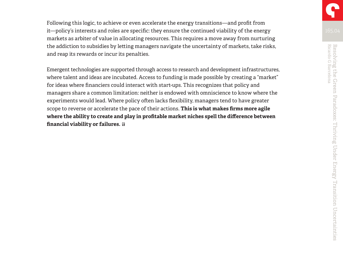Following this logic, to achieve or even accelerate the energy transitions—and profit from it—policy's interests and roles are specific: they ensure the continued viability of the energy markets as arbiter of value in allocating resources. This requires a move away from nurturing the addiction to subsidies by letting managers navigate the uncertainty of markets, take risks, and reap its rewards or incur its penalties.

Emergent technologies are supported through access to research and development infrastructures, where talent and ideas are incubated. Access to funding is made possible by creating a "market" for ideas where financiers could interact with start-ups. This recognizes that policy and managers share a common limitation: neither is endowed with omniscience to know where the experiments would lead. Where policy often lacks flexibility, managers tend to have greater scope to reverse or accelerate the pace of their actions. **This is what makes firms more agile where the ability to create and play in profitable market niches spell the difference between financial viability or failures.**